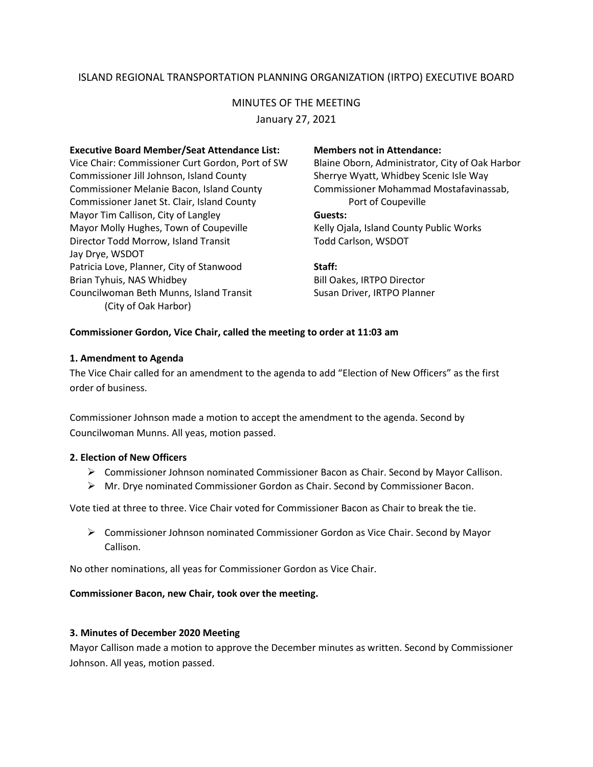# ISLAND REGIONAL TRANSPORTATION PLANNING ORGANIZATION (IRTPO) EXECUTIVE BOARD

# MINUTES OF THE MEETING

January 27, 2021

## **Executive Board Member/Seat Attendance List: Members not in Attendance:**

Vice Chair: Commissioner Curt Gordon, Port of SW Blaine Oborn, Administrator, City of Oak Harbor Commissioner Jill Johnson, Island County Sherrye Wyatt, Whidbey Scenic Isle Way Commissioner Melanie Bacon, Island County Commissioner Mohammad Mostafavinassab, Commissioner Janet St. Clair, Island County Port of Coupeville Mayor Tim Callison, City of Langley **Guests:** Mayor Molly Hughes, Town of Coupeville Kelly Ojala, Island County Public Works Director Todd Morrow, Island Transit Todd Carlson, WSDOT Jay Drye, WSDOT Patricia Love, Planner, City of Stanwood **Staff:** Brian Tyhuis, NAS Whidbey **Bill Oakes, IRTPO Director** Councilwoman Beth Munns, Island Transit Susan Driver, IRTPO Planner (City of Oak Harbor)

## **Commissioner Gordon, Vice Chair, called the meeting to order at 11:03 am**

## **1. Amendment to Agenda**

The Vice Chair called for an amendment to the agenda to add "Election of New Officers" as the first order of business.

Commissioner Johnson made a motion to accept the amendment to the agenda. Second by Councilwoman Munns. All yeas, motion passed.

# **2. Election of New Officers**

- $\triangleright$  Commissioner Johnson nominated Commissioner Bacon as Chair. Second by Mayor Callison.
- Mr. Drye nominated Commissioner Gordon as Chair. Second by Commissioner Bacon.

Vote tied at three to three. Vice Chair voted for Commissioner Bacon as Chair to break the tie.

 Commissioner Johnson nominated Commissioner Gordon as Vice Chair. Second by Mayor Callison.

No other nominations, all yeas for Commissioner Gordon as Vice Chair.

# **Commissioner Bacon, new Chair, took over the meeting.**

#### **3. Minutes of December 2020 Meeting**

Mayor Callison made a motion to approve the December minutes as written. Second by Commissioner Johnson. All yeas, motion passed.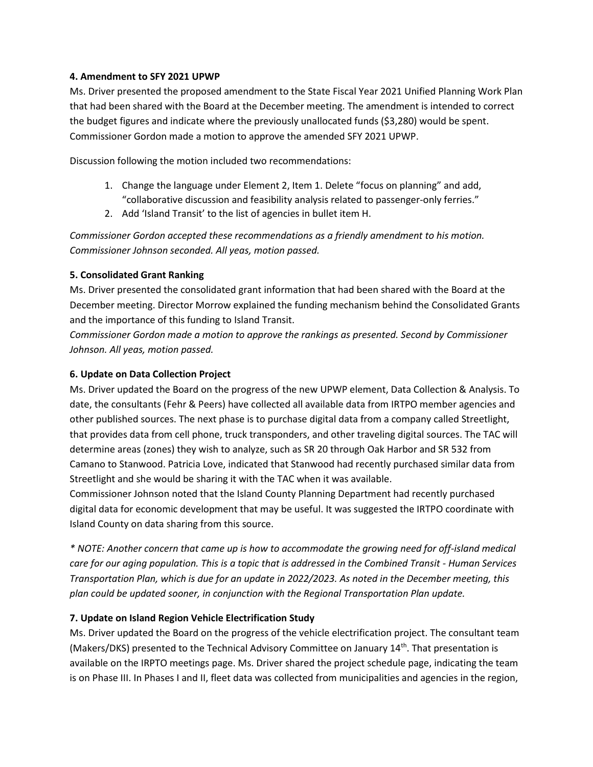# **4. Amendment to SFY 2021 UPWP**

Ms. Driver presented the proposed amendment to the State Fiscal Year 2021 Unified Planning Work Plan that had been shared with the Board at the December meeting. The amendment is intended to correct the budget figures and indicate where the previously unallocated funds (\$3,280) would be spent. Commissioner Gordon made a motion to approve the amended SFY 2021 UPWP.

Discussion following the motion included two recommendations:

- 1. Change the language under Element 2, Item 1. Delete "focus on planning" and add, "collaborative discussion and feasibility analysis related to passenger-only ferries."
- 2. Add 'Island Transit' to the list of agencies in bullet item H.

*Commissioner Gordon accepted these recommendations as a friendly amendment to his motion. Commissioner Johnson seconded. All yeas, motion passed.*

# **5. Consolidated Grant Ranking**

Ms. Driver presented the consolidated grant information that had been shared with the Board at the December meeting. Director Morrow explained the funding mechanism behind the Consolidated Grants and the importance of this funding to Island Transit.

*Commissioner Gordon made a motion to approve the rankings as presented. Second by Commissioner Johnson. All yeas, motion passed.*

# **6. Update on Data Collection Project**

Ms. Driver updated the Board on the progress of the new UPWP element, Data Collection & Analysis. To date, the consultants (Fehr & Peers) have collected all available data from IRTPO member agencies and other published sources. The next phase is to purchase digital data from a company called Streetlight, that provides data from cell phone, truck transponders, and other traveling digital sources. The TAC will determine areas (zones) they wish to analyze, such as SR 20 through Oak Harbor and SR 532 from Camano to Stanwood. Patricia Love, indicated that Stanwood had recently purchased similar data from Streetlight and she would be sharing it with the TAC when it was available.

Commissioner Johnson noted that the Island County Planning Department had recently purchased digital data for economic development that may be useful. It was suggested the IRTPO coordinate with Island County on data sharing from this source.

*\* NOTE: Another concern that came up is how to accommodate the growing need for off-island medical care for our aging population. This is a topic that is addressed in the Combined Transit - Human Services Transportation Plan, which is due for an update in 2022/2023. As noted in the December meeting, this plan could be updated sooner, in conjunction with the Regional Transportation Plan update.*

# **7. Update on Island Region Vehicle Electrification Study**

Ms. Driver updated the Board on the progress of the vehicle electrification project. The consultant team (Makers/DKS) presented to the Technical Advisory Committee on January 14<sup>th</sup>. That presentation is available on the IRPTO meetings page. Ms. Driver shared the project schedule page, indicating the team is on Phase III. In Phases I and II, fleet data was collected from municipalities and agencies in the region,